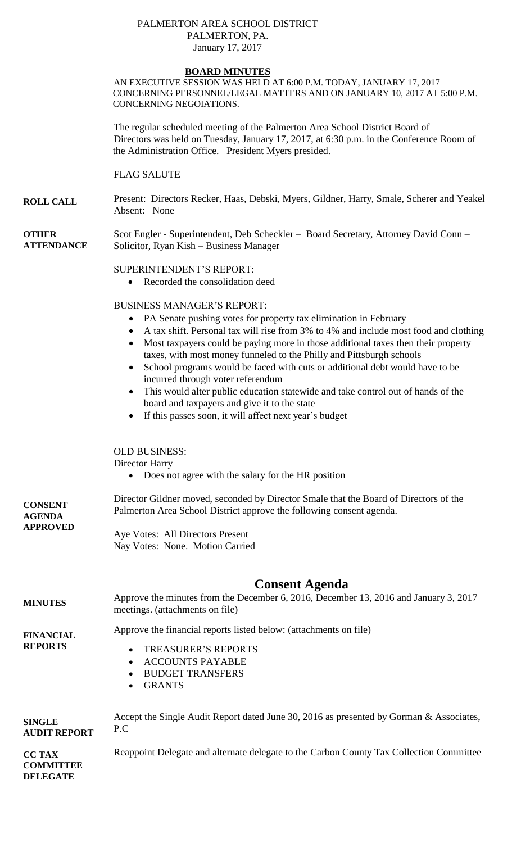## PALMERTON AREA SCHOOL DISTRICT PALMERTON, PA. January 17, 2017

# **BOARD MINUTES**

AN EXECUTIVE SESSION WAS HELD AT 6:00 P.M. TODAY, JANUARY 17, 2017 CONCERNING PERSONNEL/LEGAL MATTERS AND ON JANUARY 10, 2017 AT 5:00 P.M. CONCERNING NEGOIATIONS.

The regular scheduled meeting of the Palmerton Area School District Board of Directors was held on Tuesday, January 17, 2017, at 6:30 p.m. in the Conference Room of the Administration Office. President Myers presided.

FLAG SALUTE

**ROLL CALL** Present: Directors Recker, Haas, Debski, Myers, Gildner, Harry, Smale, Scherer and Yeakel Absent: None

**OTHER ATTENDANCE** Scot Engler - Superintendent, Deb Scheckler – Board Secretary, Attorney David Conn – Solicitor, Ryan Kish – Business Manager

#### SUPERINTENDENT'S REPORT:

Recorded the consolidation deed

### BUSINESS MANAGER'S REPORT:

- PA Senate pushing votes for property tax elimination in February
- A tax shift. Personal tax will rise from 3% to 4% and include most food and clothing
- Most taxpayers could be paying more in those additional taxes then their property taxes, with most money funneled to the Philly and Pittsburgh schools
- School programs would be faced with cuts or additional debt would have to be incurred through voter referendum
- This would alter public education statewide and take control out of hands of the board and taxpayers and give it to the state
- If this passes soon, it will affect next year's budget

OLD BUSINESS:

Director Harry

Does not agree with the salary for the HR position

**CONSENT AGENDA APPROVED** Director Gildner moved, seconded by Director Smale that the Board of Directors of the Palmerton Area School District approve the following consent agenda.

Aye Votes: All Directors Present Nay Votes: None. Motion Carried

# **Consent Agenda**

**MINUTES** Approve the minutes from the December 6, 2016, December 13, 2016 and January 3, 2017 meetings. (attachments on file)

**FINANCIAL REPORTS**

- Approve the financial reports listed below: (attachments on file)
	- TREASURER'S REPORTS
		- ACCOUNTS PAYABLE
		- BUDGET TRANSFERS
		- GRANTS

| <b>SINGLE</b><br><b>AUDIT REPORT</b> | Accept the Single Audit Report dated June 30, 2016 as presented by Gorman & Associates, |
|--------------------------------------|-----------------------------------------------------------------------------------------|
|                                      |                                                                                         |

**CC TAX COMMITTEE DELEGATE** Reappoint Delegate and alternate delegate to the Carbon County Tax Collection Committee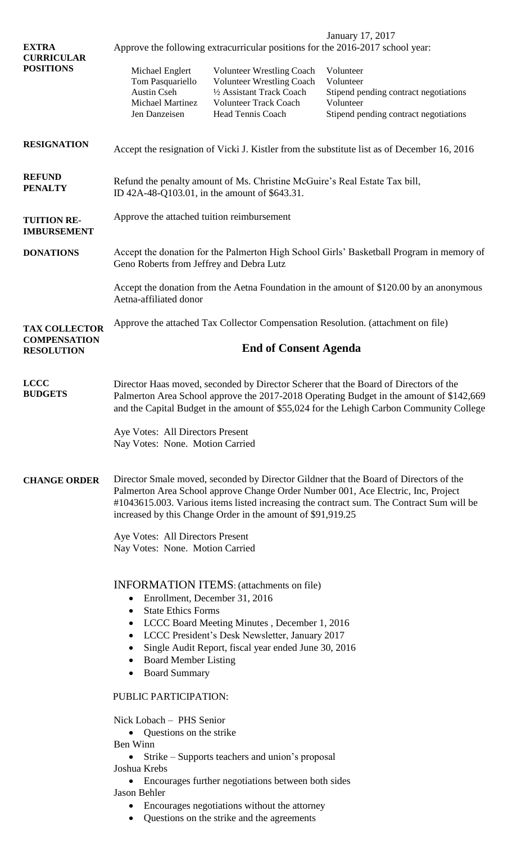| <b>EXTRA</b><br><b>CURRICULAR</b><br><b>POSITIONS</b>               | January 17, 2017<br>Approve the following extracurricular positions for the 2016-2017 school year:                                                                                                                                                                                                                                                                                                                        |                                                                                                                                                        |                                                                                                                       |  |  |
|---------------------------------------------------------------------|---------------------------------------------------------------------------------------------------------------------------------------------------------------------------------------------------------------------------------------------------------------------------------------------------------------------------------------------------------------------------------------------------------------------------|--------------------------------------------------------------------------------------------------------------------------------------------------------|-----------------------------------------------------------------------------------------------------------------------|--|--|
|                                                                     | Michael Englert<br>Tom Pasquariello<br><b>Austin Cseh</b><br><b>Michael Martinez</b><br>Jen Danzeisen                                                                                                                                                                                                                                                                                                                     | <b>Volunteer Wrestling Coach</b><br><b>Volunteer Wrestling Coach</b><br>1/2 Assistant Track Coach<br><b>Volunteer Track Coach</b><br>Head Tennis Coach | Volunteer<br>Volunteer<br>Stipend pending contract negotiations<br>Volunteer<br>Stipend pending contract negotiations |  |  |
| <b>RESIGNATION</b>                                                  | Accept the resignation of Vicki J. Kistler from the substitute list as of December 16, 2016                                                                                                                                                                                                                                                                                                                               |                                                                                                                                                        |                                                                                                                       |  |  |
| <b>REFUND</b><br><b>PENALTY</b>                                     | Refund the penalty amount of Ms. Christine McGuire's Real Estate Tax bill,<br>ID 42A-48-Q103.01, in the amount of \$643.31.                                                                                                                                                                                                                                                                                               |                                                                                                                                                        |                                                                                                                       |  |  |
| <b>TUITION RE-</b><br><b>IMBURSEMENT</b>                            | Approve the attached tuition reimbursement                                                                                                                                                                                                                                                                                                                                                                                |                                                                                                                                                        |                                                                                                                       |  |  |
| <b>DONATIONS</b>                                                    | Accept the donation for the Palmerton High School Girls' Basketball Program in memory of<br>Geno Roberts from Jeffrey and Debra Lutz                                                                                                                                                                                                                                                                                      |                                                                                                                                                        |                                                                                                                       |  |  |
|                                                                     | Accept the donation from the Aetna Foundation in the amount of \$120.00 by an anonymous<br>Aetna-affiliated donor                                                                                                                                                                                                                                                                                                         |                                                                                                                                                        |                                                                                                                       |  |  |
| <b>TAX COLLECTOR</b><br><b>COMPENSATION</b><br><b>RESOLUTION</b>    | Approve the attached Tax Collector Compensation Resolution. (attachment on file)                                                                                                                                                                                                                                                                                                                                          |                                                                                                                                                        |                                                                                                                       |  |  |
|                                                                     | <b>End of Consent Agenda</b>                                                                                                                                                                                                                                                                                                                                                                                              |                                                                                                                                                        |                                                                                                                       |  |  |
| <b>LCCC</b><br><b>BUDGETS</b>                                       | Director Haas moved, seconded by Director Scherer that the Board of Directors of the<br>Palmerton Area School approve the 2017-2018 Operating Budget in the amount of \$142,669<br>and the Capital Budget in the amount of \$55,024 for the Lehigh Carbon Community College                                                                                                                                               |                                                                                                                                                        |                                                                                                                       |  |  |
|                                                                     | Aye Votes: All Directors Present<br>Nay Votes: None. Motion Carried                                                                                                                                                                                                                                                                                                                                                       |                                                                                                                                                        |                                                                                                                       |  |  |
| <b>CHANGE ORDER</b>                                                 | Director Smale moved, seconded by Director Gildner that the Board of Directors of the<br>Palmerton Area School approve Change Order Number 001, Ace Electric, Inc, Project<br>#1043615.003. Various items listed increasing the contract sum. The Contract Sum will be<br>increased by this Change Order in the amount of \$91,919.25                                                                                     |                                                                                                                                                        |                                                                                                                       |  |  |
| Aye Votes: All Directors Present<br>Nay Votes: None. Motion Carried |                                                                                                                                                                                                                                                                                                                                                                                                                           |                                                                                                                                                        |                                                                                                                       |  |  |
|                                                                     | <b>INFORMATION ITEMS:</b> (attachments on file)<br>Enrollment, December 31, 2016<br>$\bullet$<br><b>State Ethics Forms</b><br>$\bullet$<br>LCCC Board Meeting Minutes, December 1, 2016<br>$\bullet$<br>LCCC President's Desk Newsletter, January 2017<br>$\bullet$<br>Single Audit Report, fiscal year ended June 30, 2016<br>$\bullet$<br><b>Board Member Listing</b><br>$\bullet$<br><b>Board Summary</b><br>$\bullet$ |                                                                                                                                                        |                                                                                                                       |  |  |
|                                                                     | PUBLIC PARTICIPATION:<br>Nick Lobach - PHS Senior<br>Questions on the strike<br>$\bullet$<br>Ben Winn<br>Strike – Supports teachers and union's proposal<br>Joshua Krebs                                                                                                                                                                                                                                                  |                                                                                                                                                        |                                                                                                                       |  |  |
|                                                                     |                                                                                                                                                                                                                                                                                                                                                                                                                           |                                                                                                                                                        |                                                                                                                       |  |  |
|                                                                     |                                                                                                                                                                                                                                                                                                                                                                                                                           |                                                                                                                                                        |                                                                                                                       |  |  |
|                                                                     |                                                                                                                                                                                                                                                                                                                                                                                                                           |                                                                                                                                                        |                                                                                                                       |  |  |
|                                                                     | Jason Behler                                                                                                                                                                                                                                                                                                                                                                                                              | Encourages further negotiations between both sides<br>Encourages negotiations without the attorney                                                     |                                                                                                                       |  |  |

Questions on the strike and the agreements